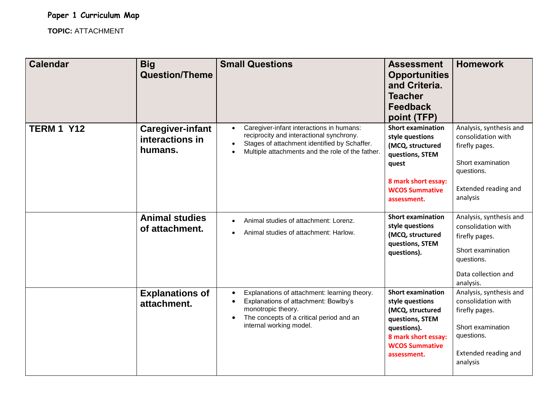**Paper 1 Curriculum Map**

**TOPIC:** ATTACHMENT

| <b>Calendar</b>   | <b>Big</b><br><b>Question/Theme</b>                   | <b>Small Questions</b>                                                                                                                                                                                             | <b>Assessment</b><br><b>Opportunities</b><br>and Criteria.<br><b>Teacher</b><br><b>Feedback</b><br>point (TFP)                                                   | <b>Homework</b>                                                                                                                        |
|-------------------|-------------------------------------------------------|--------------------------------------------------------------------------------------------------------------------------------------------------------------------------------------------------------------------|------------------------------------------------------------------------------------------------------------------------------------------------------------------|----------------------------------------------------------------------------------------------------------------------------------------|
| <b>TERM 1 Y12</b> | <b>Caregiver-infant</b><br>interactions in<br>humans. | Caregiver-infant interactions in humans:<br>reciprocity and interactional synchrony.<br>Stages of attachment identified by Schaffer.<br>$\bullet$<br>Multiple attachments and the role of the father.<br>$\bullet$ | <b>Short examination</b><br>style questions<br>(MCQ, structured<br>questions, STEM<br>quest<br>8 mark short essay:<br><b>WCOS Summative</b><br>assessment.       | Analysis, synthesis and<br>consolidation with<br>firefly pages.<br>Short examination<br>questions.<br>Extended reading and<br>analysis |
|                   | <b>Animal studies</b><br>of attachment.               | Animal studies of attachment: Lorenz.<br>$\bullet$<br>Animal studies of attachment: Harlow.                                                                                                                        | <b>Short examination</b><br>style questions<br>(MCQ, structured<br>questions, STEM<br>questions).                                                                | Analysis, synthesis and<br>consolidation with<br>firefly pages.<br>Short examination<br>questions.<br>Data collection and<br>analysis. |
|                   | <b>Explanations of</b><br>attachment.                 | Explanations of attachment: learning theory.<br>Explanations of attachment: Bowlby's<br>monotropic theory.<br>The concepts of a critical period and an<br>$\bullet$<br>internal working model.                     | <b>Short examination</b><br>style questions<br>(MCQ, structured<br>questions, STEM<br>questions).<br>8 mark short essay:<br><b>WCOS Summative</b><br>assessment. | Analysis, synthesis and<br>consolidation with<br>firefly pages.<br>Short examination<br>questions.<br>Extended reading and<br>analysis |